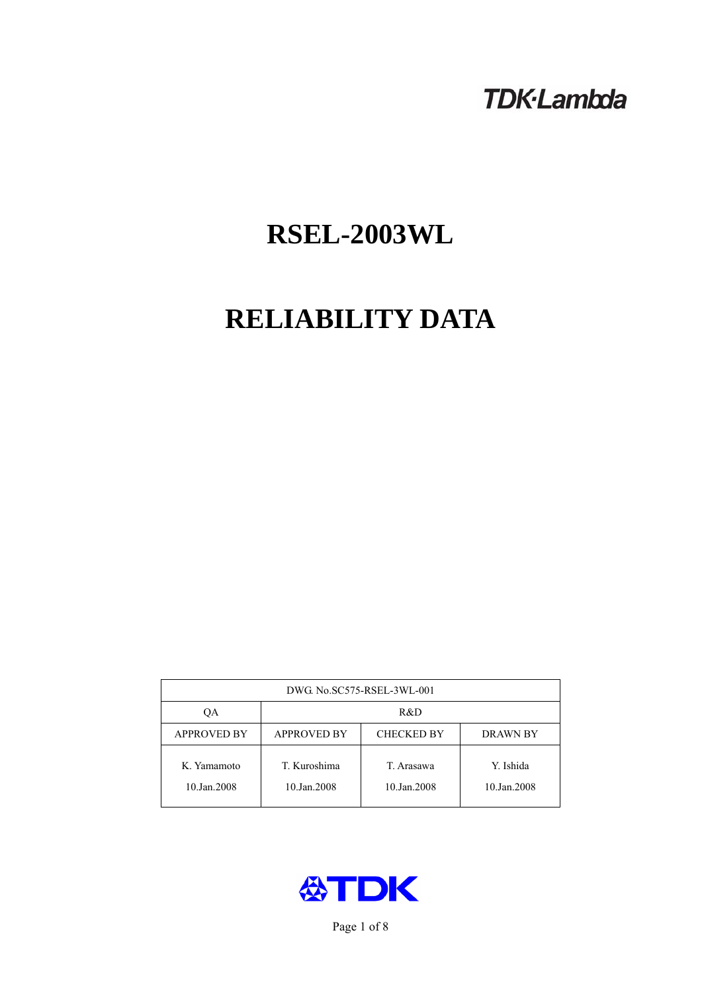## **TDK-Lambda**

# **RSEL-2003WL**

# **RELIABILITY DATA**

| DWG. No.SC575-RSEL-3WL-001 |                                                            |                           |                          |  |  |
|----------------------------|------------------------------------------------------------|---------------------------|--------------------------|--|--|
| ОA                         | R&D                                                        |                           |                          |  |  |
| <b>APPROVED BY</b>         | <b>APPROVED BY</b><br><b>CHECKED BY</b><br><b>DRAWN BY</b> |                           |                          |  |  |
| K. Yamamoto<br>10.Jan.2008 | T. Kuroshima<br>10.Jan.2008                                | T. Arasawa<br>10.Jan.2008 | Y. Ishida<br>10.Jan.2008 |  |  |



Page 1 of 8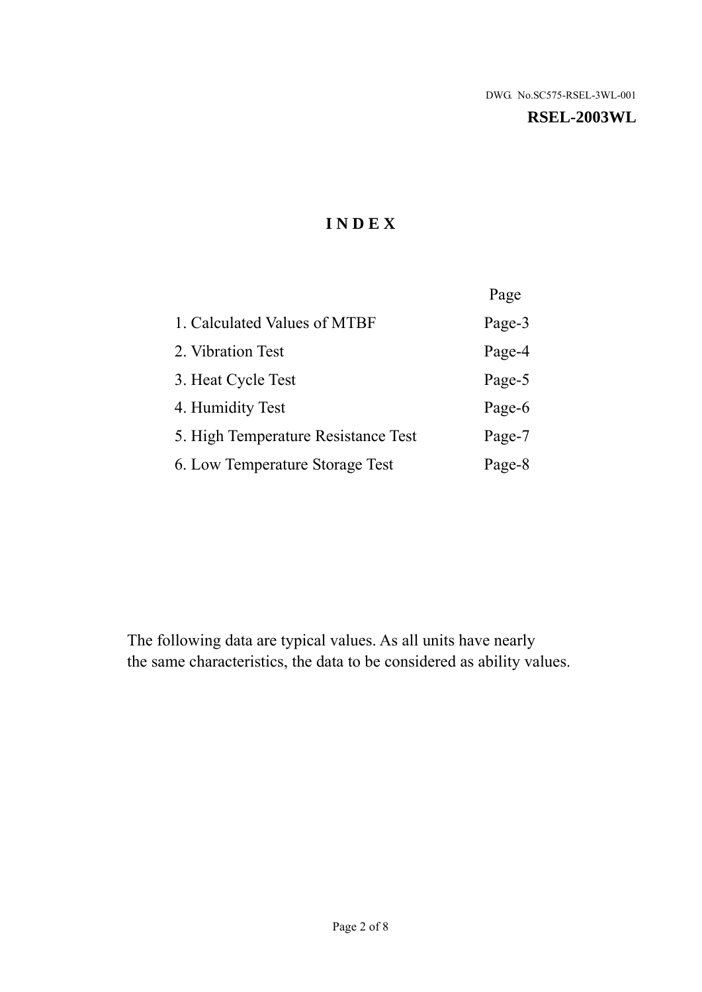#### **RSEL-2003WL**

## **I N D E X**

|                                     | Page   |
|-------------------------------------|--------|
| 1. Calculated Values of MTBF        | Page-3 |
| 2. Vibration Test                   | Page-4 |
| 3. Heat Cycle Test                  | Page-5 |
| 4. Humidity Test                    | Page-6 |
| 5. High Temperature Resistance Test | Page-7 |
| 6. Low Temperature Storage Test     | Page-8 |

The following data are typical values. As all units have nearly the same characteristics, the data to be considered as ability values.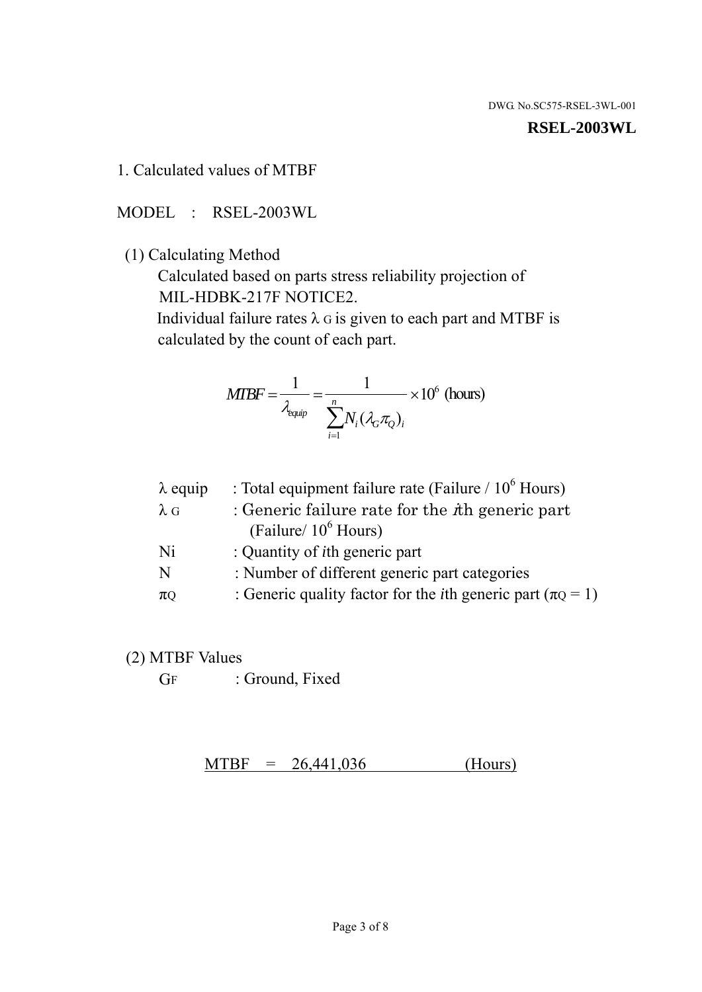**RSEL-2003WL** 

1. Calculated values of MTBF

MODEL : RSEL-2003WL

(1) Calculating Method

 Calculated based on parts stress reliability projection of MIL-HDBK-217F NOTICE2.

Individual failure rates  $\lambda$  G is given to each part and MTBF is calculated by the count of each part.

$$
MTBF = \frac{1}{\lambda_{\text{equip}}} = \frac{1}{\sum_{i=1}^{n} N_i (\lambda_G \pi_Q)_i} \times 10^6 \text{ (hours)}
$$

| $\lambda$ equip | : Total equipment failure rate (Failure / $10^6$ Hours)                   |
|-----------------|---------------------------------------------------------------------------|
| $\lambda$ G     | : Generic failure rate for the $\hbar$ generic part                       |
|                 | (Failure/ $10^6$ Hours)                                                   |
| Ni              | : Quantity of <i>i</i> th generic part                                    |
| N               | : Number of different generic part categories                             |
| $\pi Q$         | : Generic quality factor for the <i>i</i> th generic part ( $\pi Q = 1$ ) |
|                 |                                                                           |

- (2) MTBF Values
	- GF : Ground, Fixed

 $MTBF = 26,441,036$  (Hours)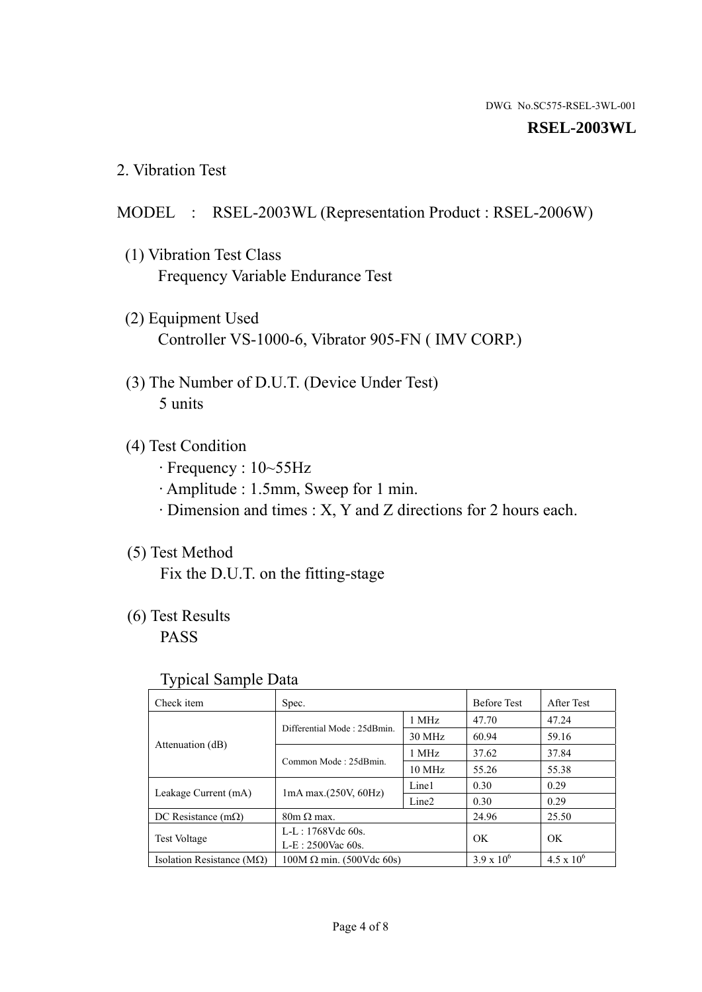#### **RSEL-2003WL**

2. Vibration Test

#### MODEL : RSEL-2003WL (Representation Product : RSEL-2006W)

- (1) Vibration Test Class Frequency Variable Endurance Test
- (2) Equipment Used Controller VS-1000-6, Vibrator 905-FN ( IMV CORP.)
- (3) The Number of D.U.T. (Device Under Test) 5 units
- (4) Test Condition
	- · Frequency : 10~55Hz
	- · Amplitude : 1.5mm, Sweep for 1 min.
	- · Dimension and times : X, Y and Z directions for 2 hours each.

## (5) Test Method

Fix the D.U.T. on the fitting-stage

## (6) Test Results

PASS

#### Typical Sample Data

| . .                                |                                                         |                  |                     |                     |
|------------------------------------|---------------------------------------------------------|------------------|---------------------|---------------------|
| Check item                         | Spec.                                                   |                  | <b>Before Test</b>  | After Test          |
|                                    | Differential Mode: 25dBmin.                             | 1 MHz            | 47.70               | 47.24               |
|                                    |                                                         | 30 MHz           | 60.94               | 59.16               |
| Attenuation (dB)                   | Common Mode: 25dBmin.                                   | 1 MHz            | 37.62               | 37.84               |
|                                    |                                                         | $10 \text{ MHz}$ | 55.26               | 55.38               |
| Leakage Current (mA)               | Line1<br>$1mA$ max. $(250V, 60Hz)$<br>Line <sub>2</sub> |                  | 0.30                | 0.29                |
|                                    |                                                         | 0.30             | 0.29                |                     |
| DC Resistance $(m\Omega)$          | $80m \Omega$ max.                                       |                  | 24.96               | 25.50               |
| <b>Test Voltage</b>                | $L-L: 1768Vdc$ 60s.                                     |                  | OK                  | OK.                 |
|                                    | $L-E$ : 2500Vac 60s.                                    |                  |                     |                     |
| Isolation Resistance ( $M\Omega$ ) | $100M \Omega$ min. (500Vdc 60s)                         |                  | $3.9 \times 10^{6}$ | $4.5 \times 10^{6}$ |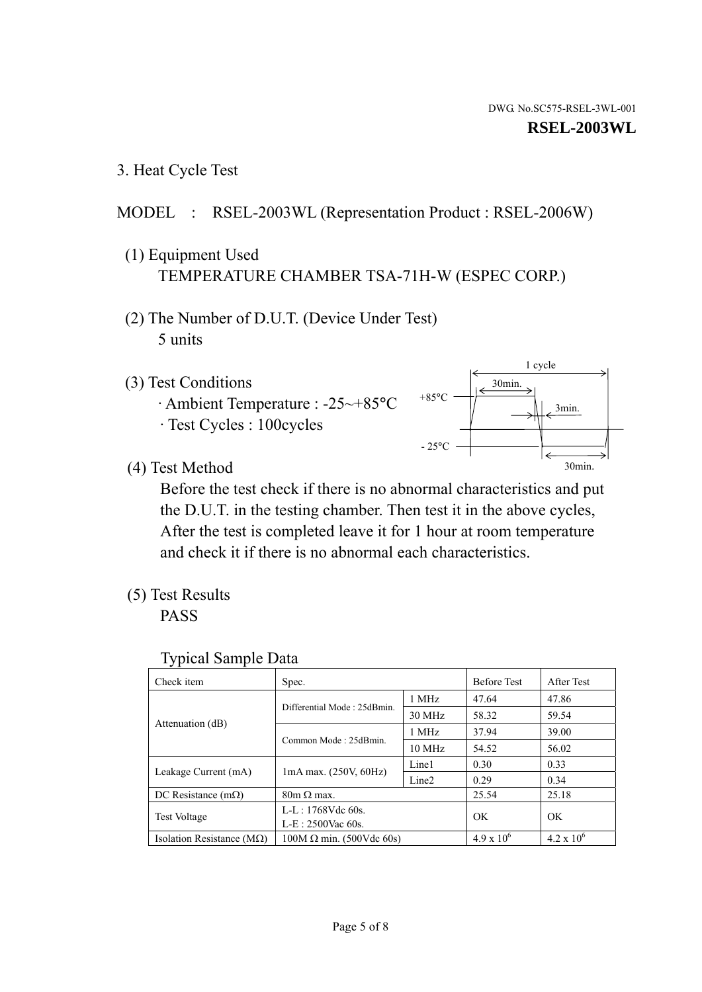1 cycle

30min.

3min.

30min.

3. Heat Cycle Test

## MODEL : RSEL-2003WL (Representation Product : RSEL-2006W)

- (1) Equipment Used TEMPERATURE CHAMBER TSA-71H-W (ESPEC CORP.)
- (2) The Number of D.U.T. (Device Under Test) 5 units
- (3) Test Conditions
	- · Ambient Temperature : -25~+85°C · Test Cycles : 100cycles
- (4) Test Method

 Before the test check if there is no abnormal characteristics and put the D.U.T. in the testing chamber. Then test it in the above cycles, After the test is completed leave it for 1 hour at room temperature and check it if there is no abnormal each characteristics.

 $+85$ °C

 $-25$ °C

(5) Test Results

PASS

| <b>Typical Sample Data</b> |  |  |
|----------------------------|--|--|
|----------------------------|--|--|

| Check item                         | Spec.                                                                                               |        | <b>Before Test</b> | After Test          |
|------------------------------------|-----------------------------------------------------------------------------------------------------|--------|--------------------|---------------------|
|                                    |                                                                                                     | 1 MHz  | 47.64              | 47.86               |
|                                    | Differential Mode: 25dBmin.                                                                         | 30 MHz | 58.32              | 59.54               |
| Attenuation (dB)                   | Common Mode: 25dBmin.                                                                               | 1 MHz  | 37.94              | 39.00               |
|                                    |                                                                                                     | 10 MHz | 54.52              | 56.02               |
|                                    | Line1<br>$1mA$ max. $(250V, 60Hz)$<br>Line <sub>2</sub><br>$80m \Omega$ max.<br>$L-L: 1768Vdc$ 60s. |        | 0.30               | 0.33                |
| Leakage Current (mA)               |                                                                                                     |        | 0.29               | 0.34                |
| DC Resistance $(m\Omega)$          |                                                                                                     |        | 25.54              | 25.18               |
| <b>Test Voltage</b>                |                                                                                                     |        | OK                 | OK.                 |
|                                    | $L-E: 2500$ Vac 60s.                                                                                |        |                    |                     |
| Isolation Resistance ( $M\Omega$ ) | $100M \Omega$ min. (500Vdc 60s)                                                                     |        | $4.9 \times 10^6$  | $4.2 \times 10^{6}$ |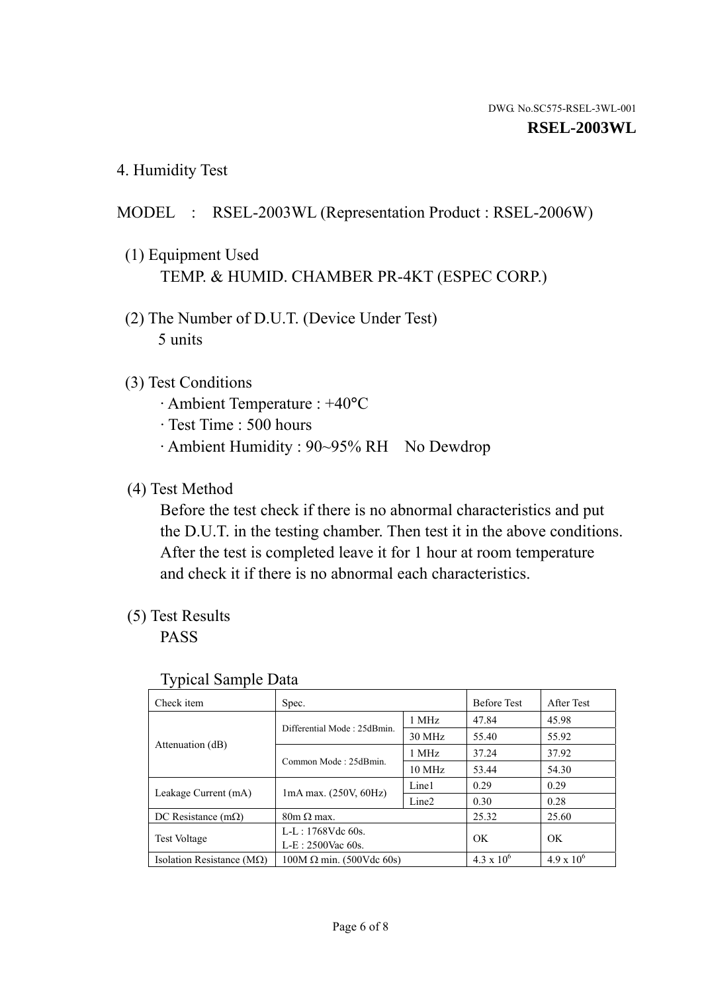4. Humidity Test

## MODEL : RSEL-2003WL (Representation Product : RSEL-2006W)

- (1) Equipment Used TEMP. & HUMID. CHAMBER PR-4KT (ESPEC CORP.)
- (2) The Number of D.U.T. (Device Under Test) 5 units

#### (3) Test Conditions

- · Ambient Temperature : +40°C
- · Test Time : 500 hours
- · Ambient Humidity : 90~95% RH No Dewdrop

## (4) Test Method

 Before the test check if there is no abnormal characteristics and put the D.U.T. in the testing chamber. Then test it in the above conditions. After the test is completed leave it for 1 hour at room temperature and check it if there is no abnormal each characteristics.

## (5) Test Results

PASS

| . .                                |                                 |                   |                     |                     |
|------------------------------------|---------------------------------|-------------------|---------------------|---------------------|
| Check item                         | Spec.                           |                   | <b>Before Test</b>  | After Test          |
| Attenuation (dB)                   | Differential Mode: 25dBmin.     | 1 MHz             | 47.84               | 45.98               |
|                                    |                                 | 30 MHz            | 55.40               | 55.92               |
|                                    | Common Mode: 25dBmin.           | 1 MHz             | 37.24               | 37.92               |
|                                    |                                 | 10 MHz            | 53.44               | 54.30               |
| Leakage Current (mA)               | $1mA$ max. $(250V, 60Hz)$       | Line1             | 0.29                | 0.29                |
|                                    |                                 | Line <sub>2</sub> | 0.30                | 0.28                |
| DC Resistance $(m\Omega)$          | $80m \Omega$ max.               |                   | 25.32               | 25.60               |
| <b>Test Voltage</b>                | $L-L: 1768Vdc$ 60s.             |                   | OK                  | OK                  |
|                                    | $L-E: 2500$ Vac 60s.            |                   |                     |                     |
| Isolation Resistance ( $M\Omega$ ) | $100M \Omega$ min. (500Vdc 60s) |                   | $4.3 \times 10^{6}$ | $4.9 \times 10^{6}$ |

#### Typical Sample Data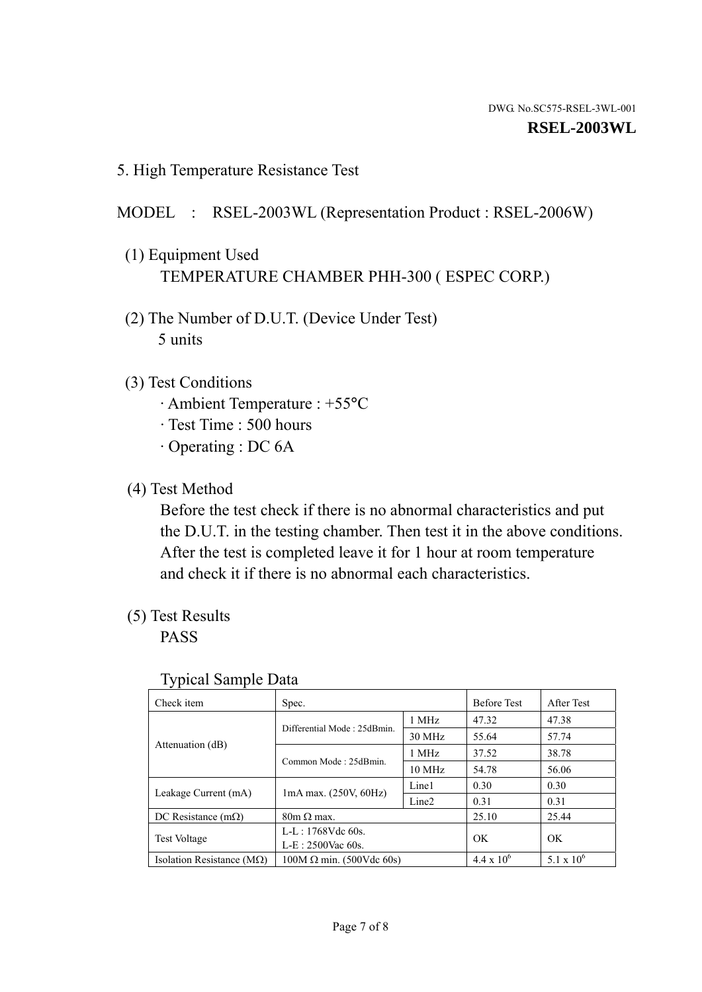5. High Temperature Resistance Test

#### MODEL : RSEL-2003WL (Representation Product : RSEL-2006W)

- (1) Equipment Used TEMPERATURE CHAMBER PHH-300 ( ESPEC CORP.)
- (2) The Number of D.U.T. (Device Under Test) 5 units
- (3) Test Conditions
	- · Ambient Temperature : +55°C
	- · Test Time : 500 hours
	- · Operating : DC 6A
- (4) Test Method

 Before the test check if there is no abnormal characteristics and put the D.U.T. in the testing chamber. Then test it in the above conditions. After the test is completed leave it for 1 hour at room temperature and check it if there is no abnormal each characteristics.

(5) Test Results

PASS

| ╯┸                                 |                                 |                   |                     |                     |
|------------------------------------|---------------------------------|-------------------|---------------------|---------------------|
| Check item                         | Spec.                           |                   | <b>Before Test</b>  | After Test          |
|                                    | Differential Mode: 25dBmin.     | 1 MHz             | 47.32               | 47.38               |
|                                    |                                 | 30 MHz            | 55.64               | 57.74               |
| Attenuation (dB)                   | Common Mode: 25dBmin.           | 1 MHz             | 37.52               | 38.78               |
|                                    |                                 | 10 MHz            | 54.78               | 56.06               |
| Leakage Current (mA)               | $1mA$ max. $(250V, 60Hz)$       | Line1             | 0.30                | 0.30                |
|                                    |                                 | Line <sub>2</sub> | 0.31                | 0.31                |
| DC Resistance $(m\Omega)$          | $80m \Omega$ max.               |                   | 25.10               | 25.44               |
| <b>Test Voltage</b>                | $L-L: 1768Vdc$ 60s.             |                   | OK                  | OK                  |
|                                    | $L-E: 2500$ Vac 60s.            |                   |                     |                     |
| Isolation Resistance ( $M\Omega$ ) | $100M \Omega$ min. (500Vdc 60s) |                   | $4.4 \times 10^{6}$ | $5.1 \times 10^{6}$ |

#### Typical Sample Data